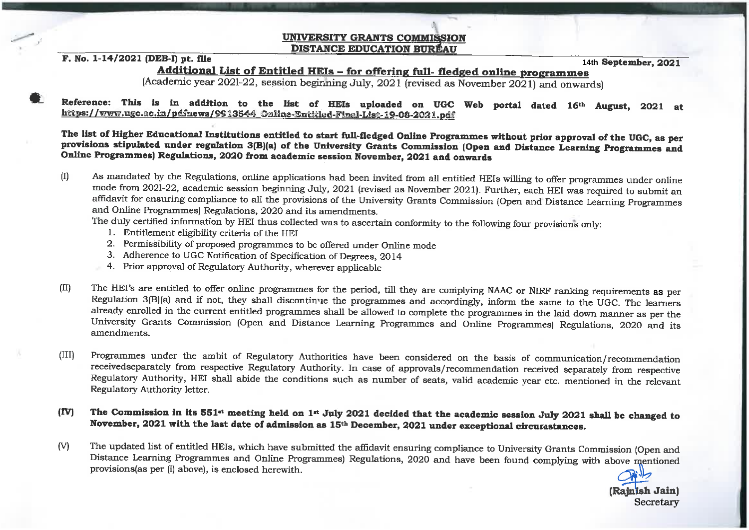## **UNIVERSITY GRANTS COMMISSION DISTANCE EDUCATION BUREAU**

## F. No. 1-14/2021 (DEB-I) pt. file

14th September, 2021

Additional List of Entitled HEIs - for offering full- fledged online programmes

(Academic year 2021-22, session beginning July, 2021 (revised as November 2021) and onwards)

Reference: This is in addition to the list of HEIs uploaded on UGC Web portal dated 16th August, 2021 at https://www.ugc.ac.in/pdfnews/9913544\_Online-Entitled-Final-List-19-08-2021.pdf

The list of Higher Educational Institutions entitled to start full-fledged Online Programmes without prior approval of the UGC, as per provisions stipulated under regulation 3(B)(a) of the University Grants Commission (Open and Distance Learning Programmes and Online Programmes) Regulations, 2020 from academic session November, 2021 and onwards

 $(I)$ As mandated by the Regulations, online applications had been invited from all entitled HEIs willing to offer programmes under online mode from 2021-22, academic session beginning July, 2021 (revised as November 2021). Further, each HEI was required to submit an affidavit for ensuring compliance to all the provisions of the University Grants Commission (Open and Distance Learning Programmes and Online Programmes) Regulations, 2020 and its amendments.

The duly certified information by HEI thus collected was to ascertain conformity to the following four provisions only:

- 1. Entitlement eligibility criteria of the HEI
- 2. Permissibility of proposed programmes to be offered under Online mode
- 3. Adherence to UGC Notification of Specification of Degrees, 2014
- 4. Prior approval of Regulatory Authority, wherever applicable
- $(II)$ The HEI's are entitled to offer online programmes for the period, till they are complying NAAC or NIRF ranking requirements as per Regulation 3(B)(a) and if not, they shall discontinue the programmes and accordingly, inform the same to the UGC. The learners already enrolled in the current entitled programmes shall be allowed to complete the programmes in the laid down manner as per the University Grants Commission (Open and Distance Learning Programmes and Online Programmes) Regulations, 2020 and its amendments.
- $(III)$ Programmes under the ambit of Regulatory Authorities have been considered on the basis of communication/recommendation received separately from respective Regulatory Authority. In case of approvals/recommendation received separately from respective Regulatory Authority, HEI shall abide the conditions such as number of seats, valid academic year etc. mentioned in the relevant Regulatory Authority letter.
- The Commission in its 551<sup>st</sup> meeting held on 1<sup>st</sup> July 2021 decided that the academic session July 2021 shall be changed to  $(TV)$ November, 2021 with the last date of admission as 15<sup>th</sup> December, 2021 under exceptional circumstances.
- The updated list of entitled HEIs, which have submitted the affidavit ensuring compliance to University Grants Commission (Open and  $(V)$ Distance Learning Programmes and Online Programmes) Regulations, 2020 and have been found complying with above mentioned provisions(as per (i) above), is enclosed herewith.

(Rajnish Jain) Secretary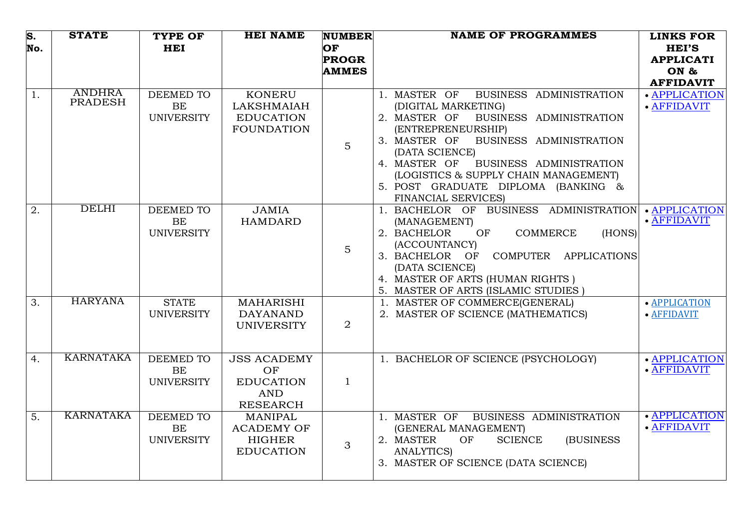| S.<br>No. | <b>STATE</b>                    | <b>TYPE OF</b><br><b>HEI</b>                | <b>HEI NAME</b>                                                               | <b>NUMBER</b><br>OF | <b>NAME OF PROGRAMMES</b>                                                                                                                                                                                                                                                                                                                      | <b>LINKS FOR</b><br><b>HEI'S</b> |
|-----------|---------------------------------|---------------------------------------------|-------------------------------------------------------------------------------|---------------------|------------------------------------------------------------------------------------------------------------------------------------------------------------------------------------------------------------------------------------------------------------------------------------------------------------------------------------------------|----------------------------------|
|           |                                 |                                             |                                                                               | <b>PROGR</b>        |                                                                                                                                                                                                                                                                                                                                                | <b>APPLICATI</b>                 |
|           |                                 |                                             |                                                                               | <b>AMMES</b>        |                                                                                                                                                                                                                                                                                                                                                | ON &                             |
|           |                                 |                                             |                                                                               |                     |                                                                                                                                                                                                                                                                                                                                                | <b>AFFIDAVIT</b>                 |
| 1.        | <b>ANDHRA</b><br><b>PRADESH</b> | <b>DEEMED TO</b><br>BE<br><b>UNIVERSITY</b> | <b>KONERU</b><br><b>LAKSHMAIAH</b><br><b>EDUCATION</b><br><b>FOUNDATION</b>   | $\overline{5}$      | 1. MASTER OF<br>BUSINESS ADMINISTRATION<br>(DIGITAL MARKETING)<br>BUSINESS ADMINISTRATION<br>2. MASTER OF<br>(ENTREPRENEURSHIP)<br>BUSINESS ADMINISTRATION<br>3. MASTER OF<br>(DATA SCIENCE)<br>4. MASTER OF<br>BUSINESS ADMINISTRATION<br>(LOGISTICS & SUPPLY CHAIN MANAGEMENT)<br>5. POST GRADUATE DIPLOMA (BANKING &<br>FINANCIAL SERVICES) | · APPLICATION<br>· AFFIDAVIT     |
| 2.        | <b>DELHI</b>                    | <b>DEEMED TO</b><br>BE<br><b>UNIVERSITY</b> | <b>JAMIA</b><br><b>HAMDARD</b>                                                | $\overline{5}$      | 1. BACHELOR OF BUSINESS ADMINISTRATION<br>(MANAGEMENT)<br>OF<br><b>COMMERCE</b><br>2. BACHELOR<br>(HONS)<br>(ACCOUNTANCY)<br>COMPUTER APPLICATIONS<br>3. BACHELOR<br>OF<br>(DATA SCIENCE)<br>4. MASTER OF ARTS (HUMAN RIGHTS)<br>5. MASTER OF ARTS (ISLAMIC STUDIES)                                                                           | • APPLICATION<br>· AFFIDAVIT     |
| 3.        | <b>HARYANA</b>                  | <b>STATE</b><br><b>UNIVERSITY</b>           | <b>MAHARISHI</b><br><b>DAYANAND</b><br><b>UNIVERSITY</b>                      | 2                   | 1. MASTER OF COMMERCE(GENERAL)<br>2. MASTER OF SCIENCE (MATHEMATICS)                                                                                                                                                                                                                                                                           | · APPLICATION<br>• AFFIDAVIT     |
| 4.        | <b>KARNATAKA</b>                | DEEMED TO<br><b>BE</b><br><b>UNIVERSITY</b> | <b>JSS ACADEMY</b><br>OF<br><b>EDUCATION</b><br><b>AND</b><br><b>RESEARCH</b> | $\mathbf{1}$        | 1. BACHELOR OF SCIENCE (PSYCHOLOGY)                                                                                                                                                                                                                                                                                                            | · APPLICATION<br>· AFFIDAVIT     |
| 5.        | <b>KARNATAKA</b>                | DEEMED TO<br><b>BE</b><br><b>UNIVERSITY</b> | <b>MANIPAL</b><br><b>ACADEMY OF</b><br><b>HIGHER</b><br><b>EDUCATION</b>      | 3                   | 1. MASTER OF BUSINESS ADMINISTRATION<br>(GENERAL MANAGEMENT)<br><b>SCIENCE</b><br><b>(BUSINESS)</b><br>2. MASTER<br>OF<br><b>ANALYTICS)</b><br>3. MASTER OF SCIENCE (DATA SCIENCE)                                                                                                                                                             | · APPLICATION<br>· AFFIDAVIT     |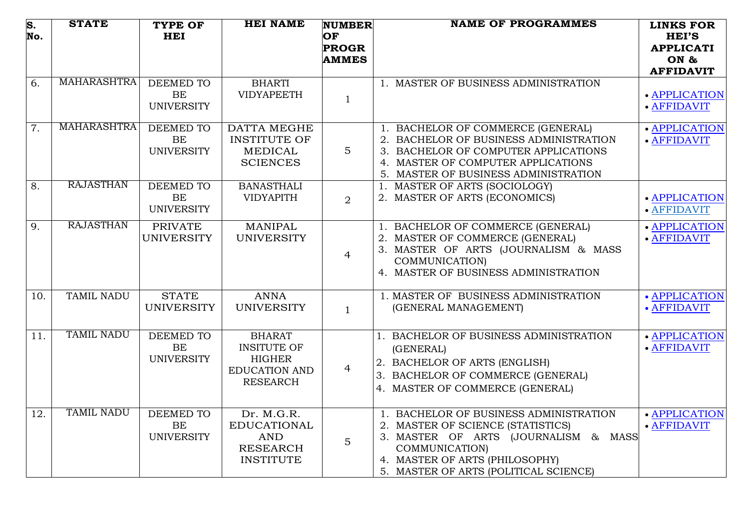| $\overline{\mathbf{s}}$ .<br>No. | <b>STATE</b>       | <b>TYPE OF</b><br><b>HEI</b>                       | <b>HEI NAME</b>                                                                                 | <b>NUMBER</b><br>OF<br><b>PROGR</b><br><b>AMMES</b> | <b>NAME OF PROGRAMMES</b>                                                                                                                                                                                        | <b>LINKS FOR</b><br><b>HEI'S</b><br><b>APPLICATI</b><br>ON &<br><b>AFFIDAVIT</b> |
|----------------------------------|--------------------|----------------------------------------------------|-------------------------------------------------------------------------------------------------|-----------------------------------------------------|------------------------------------------------------------------------------------------------------------------------------------------------------------------------------------------------------------------|----------------------------------------------------------------------------------|
| 6.                               | <b>MAHARASHTRA</b> | DEEMED TO<br><b>BE</b><br><b>UNIVERSITY</b>        | <b>BHARTI</b><br><b>VIDYAPEETH</b>                                                              | $\mathbf{1}$                                        | 1. MASTER OF BUSINESS ADMINISTRATION                                                                                                                                                                             | · APPLICATION<br>· AFFIDAVIT                                                     |
| $\overline{7}$ .                 | MAHARASHTRA        | DEEMED TO<br><b>BE</b><br><b>UNIVERSITY</b>        | DATTA MEGHE<br><b>INSTITUTE OF</b><br><b>MEDICAL</b><br><b>SCIENCES</b>                         | $5\phantom{.}$                                      | 1. BACHELOR OF COMMERCE (GENERAL)<br>2. BACHELOR OF BUSINESS ADMINISTRATION<br>3. BACHELOR OF COMPUTER APPLICATIONS<br>4. MASTER OF COMPUTER APPLICATIONS<br>5. MASTER OF BUSINESS ADMINISTRATION                | • APPLICATION<br>· AFFIDAVIT                                                     |
| $\overline{8}$ .                 | <b>RAJASTHAN</b>   | <b>DEEMED TO</b><br><b>BE</b><br><b>UNIVERSITY</b> | <b>BANASTHALI</b><br><b>VIDYAPITH</b>                                                           | 2                                                   | 1. MASTER OF ARTS (SOCIOLOGY)<br>2. MASTER OF ARTS (ECONOMICS)                                                                                                                                                   | • APPLICATION<br>· AFFIDAVIT                                                     |
| 9.                               | <b>RAJASTHAN</b>   | <b>PRIVATE</b><br><b>UNIVERSITY</b>                | <b>MANIPAL</b><br><b>UNIVERSITY</b>                                                             | $\overline{4}$                                      | 1. BACHELOR OF COMMERCE (GENERAL)<br>2. MASTER OF COMMERCE (GENERAL)<br>3. MASTER OF ARTS (JOURNALISM & MASS<br>COMMUNICATION)<br>4. MASTER OF BUSINESS ADMINISTRATION                                           | · APPLICATION<br>· AFFIDAVIT                                                     |
| 10.                              | TAMIL NADU         | <b>STATE</b><br><b>UNIVERSITY</b>                  | <b>ANNA</b><br><b>UNIVERSITY</b>                                                                | $\mathbf{1}$                                        | 1. MASTER OF BUSINESS ADMINISTRATION<br>(GENERAL MANAGEMENT)                                                                                                                                                     | • APPLICATION<br>• AFFIDAVIT                                                     |
| 11.                              | <b>TAMIL NADU</b>  | DEEMED TO<br>BE<br><b>UNIVERSITY</b>               | <b>BHARAT</b><br><b>INSITUTE OF</b><br><b>HIGHER</b><br><b>EDUCATION AND</b><br><b>RESEARCH</b> | $\overline{4}$                                      | 1. BACHELOR OF BUSINESS ADMINISTRATION<br>(GENERAL)<br>2. BACHELOR OF ARTS (ENGLISH)<br>3. BACHELOR OF COMMERCE (GENERAL)<br>4. MASTER OF COMMERCE (GENERAL)                                                     | · APPLICATION<br>· AFFIDAVIT                                                     |
| 12.                              | <b>TAMIL NADU</b>  | <b>DEEMED TO</b><br><b>BE</b><br><b>UNIVERSITY</b> | Dr. M.G.R.<br><b>EDUCATIONAL</b><br><b>AND</b><br><b>RESEARCH</b><br><b>INSTITUTE</b>           | $\overline{5}$                                      | 1. BACHELOR OF BUSINESS ADMINISTRATION<br>2. MASTER OF SCIENCE (STATISTICS)<br>3. MASTER OF ARTS (JOURNALISM & MASS<br>COMMUNICATION)<br>4. MASTER OF ARTS (PHILOSOPHY)<br>5. MASTER OF ARTS (POLITICAL SCIENCE) | · APPLICATION<br>· AFFIDAVIT                                                     |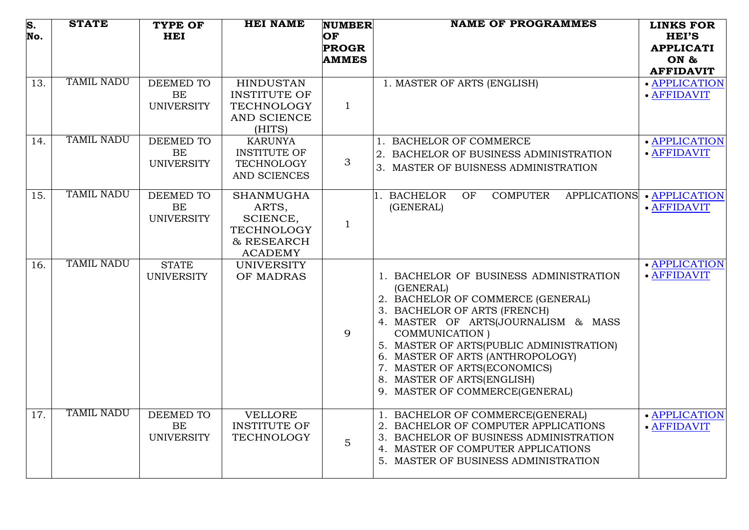| $\overline{\mathbf{s}}$ .<br>No. | <b>STATE</b>      | <b>TYPE OF</b><br><b>HEI</b>   | <b>HEI NAME</b>                          | <b>NUMBER</b><br>OF | <b>NAME OF PROGRAMMES</b>                                                      | <b>LINKS FOR</b><br><b>HEI'S</b>  |
|----------------------------------|-------------------|--------------------------------|------------------------------------------|---------------------|--------------------------------------------------------------------------------|-----------------------------------|
|                                  |                   |                                |                                          | <b>PROGR</b>        |                                                                                | <b>APPLICATI</b>                  |
|                                  |                   |                                |                                          | <b>AMMES</b>        |                                                                                | ON &                              |
| 13.                              | <b>TAMIL NADU</b> | <b>DEEMED TO</b>               | <b>HINDUSTAN</b>                         |                     | 1. MASTER OF ARTS (ENGLISH)                                                    | <b>AFFIDAVIT</b><br>· APPLICATION |
|                                  |                   | <b>BE</b>                      | <b>INSTITUTE OF</b>                      |                     |                                                                                | · AFFIDAVIT                       |
|                                  |                   | <b>UNIVERSITY</b>              | <b>TECHNOLOGY</b>                        | $\mathbf{1}$        |                                                                                |                                   |
|                                  |                   |                                | AND SCIENCE<br>(HITS)                    |                     |                                                                                |                                   |
| 14.                              | <b>TAMIL NADU</b> | <b>DEEMED TO</b>               | <b>KARUNYA</b>                           |                     | <b>BACHELOR OF COMMERCE</b>                                                    | · APPLICATION                     |
|                                  |                   | BE<br><b>UNIVERSITY</b>        | <b>INSTITUTE OF</b><br><b>TECHNOLOGY</b> | 3                   | 2. BACHELOR OF BUSINESS ADMINISTRATION                                         | · AFFIDAVIT                       |
|                                  |                   |                                | AND SCIENCES                             |                     | 3. MASTER OF BUISNESS ADMINISTRATION                                           |                                   |
| 15.                              | <b>TAMIL NADU</b> | DEEMED TO<br><b>BE</b>         | <b>SHANMUGHA</b><br>ARTS,                |                     | <b>BACHELOR</b><br><b>COMPUTER</b><br><b>APPLICATIONS</b><br>OF<br>(GENERAL)   | · APPLICATION<br>· AFFIDAVIT      |
|                                  |                   | <b>UNIVERSITY</b>              | SCIENCE,                                 |                     |                                                                                |                                   |
|                                  |                   |                                | <b>TECHNOLOGY</b>                        | $\mathbf{1}$        |                                                                                |                                   |
|                                  |                   |                                | & RESEARCH<br><b>ACADEMY</b>             |                     |                                                                                |                                   |
| 16.                              | <b>TAMIL NADU</b> | <b>STATE</b>                   | <b>UNIVERSITY</b>                        |                     |                                                                                | • APPLICATION                     |
|                                  |                   | <b>UNIVERSITY</b>              | OF MADRAS                                |                     | 1. BACHELOR OF BUSINESS ADMINISTRATION                                         | · AFFIDAVIT                       |
|                                  |                   |                                |                                          |                     | (GENERAL)                                                                      |                                   |
|                                  |                   |                                |                                          |                     | 2. BACHELOR OF COMMERCE (GENERAL)<br>3. BACHELOR OF ARTS (FRENCH)              |                                   |
|                                  |                   |                                |                                          |                     | 4. MASTER OF ARTS(JOURNALISM & MASS                                            |                                   |
|                                  |                   |                                |                                          | 9                   | <b>COMMUNICATION</b> )                                                         |                                   |
|                                  |                   |                                |                                          |                     | 5. MASTER OF ARTS(PUBLIC ADMINISTRATION)<br>6. MASTER OF ARTS (ANTHROPOLOGY)   |                                   |
|                                  |                   |                                |                                          |                     | 7. MASTER OF ARTS(ECONOMICS)                                                   |                                   |
|                                  |                   |                                |                                          |                     | 8. MASTER OF ARTS(ENGLISH)                                                     |                                   |
|                                  |                   |                                |                                          |                     | 9. MASTER OF COMMERCE(GENERAL)                                                 |                                   |
| 17.                              | <b>TAMIL NADU</b> | DEEMED TO                      | <b>VELLORE</b>                           |                     | 1. BACHELOR OF COMMERCE(GENERAL)                                               | · APPLICATION                     |
|                                  |                   | <b>BE</b><br><b>UNIVERSITY</b> | <b>INSTITUTE OF</b><br><b>TECHNOLOGY</b> |                     | 2. BACHELOR OF COMPUTER APPLICATIONS<br>3. BACHELOR OF BUSINESS ADMINISTRATION | · AFFIDAVIT                       |
|                                  |                   |                                |                                          | $\overline{5}$      | 4. MASTER OF COMPUTER APPLICATIONS                                             |                                   |
|                                  |                   |                                |                                          |                     | 5. MASTER OF BUSINESS ADMINISTRATION                                           |                                   |
|                                  |                   |                                |                                          |                     |                                                                                |                                   |